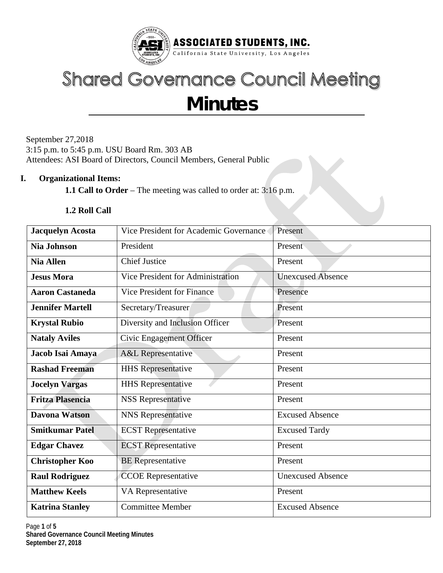

# **Shared Governance Council Meeting Minutes**

September 27,2018 3:15 p.m. to 5:45 p.m. USU Board Rm. 303 AB Attendees: ASI Board of Directors, Council Members, General Public

#### **I. Organizational Items:**

**1.1 Call to Order** – The meeting was called to order at: 3:16 p.m.

#### **1.2 Roll Call**

| <b>Jacquelyn Acosta</b> | Vice President for Academic Governance | Present                  |  |  |
|-------------------------|----------------------------------------|--------------------------|--|--|
| <b>Nia Johnson</b>      | President                              | Present                  |  |  |
| <b>Nia Allen</b>        | <b>Chief Justice</b>                   | Present                  |  |  |
| <b>Jesus Mora</b>       | Vice President for Administration      | <b>Unexcused Absence</b> |  |  |
| <b>Aaron Castaneda</b>  | Vice President for Finance             | Presence                 |  |  |
| <b>Jennifer Martell</b> | Secretary/Treasurer                    | Present                  |  |  |
| <b>Krystal Rubio</b>    | Diversity and Inclusion Officer        | Present                  |  |  |
| <b>Nataly Aviles</b>    | Civic Engagement Officer               | Present                  |  |  |
| Jacob Isai Amaya        | <b>A&amp;L</b> Representative          | Present                  |  |  |
| <b>Rashad Freeman</b>   | <b>HHS</b> Representative              | Present                  |  |  |
| <b>Jocelyn Vargas</b>   | <b>HHS</b> Representative              | Present                  |  |  |
| <b>Fritza Plasencia</b> | <b>NSS Representative</b>              | Present                  |  |  |
| <b>Davona Watson</b>    | <b>NNS</b> Representative              | <b>Excused Absence</b>   |  |  |
| <b>Smitkumar Patel</b>  | <b>ECST</b> Representative             | <b>Excused Tardy</b>     |  |  |
| <b>Edgar Chavez</b>     | <b>ECST</b> Representative             | Present                  |  |  |
| <b>Christopher Koo</b>  | <b>BE</b> Representative               | Present                  |  |  |
| <b>Raul Rodriguez</b>   | <b>CCOE</b> Representative             | <b>Unexcused Absence</b> |  |  |
| <b>Matthew Keels</b>    | VA Representative                      | Present                  |  |  |
| <b>Katrina Stanley</b>  | <b>Committee Member</b>                | <b>Excused Absence</b>   |  |  |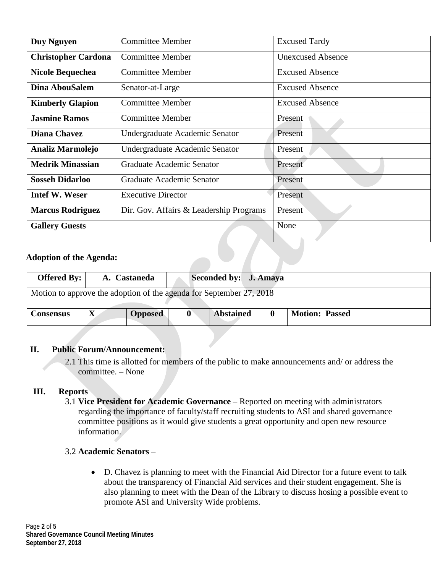| Duy Nguyen                                                         | <b>Committee Member</b>        | <b>Excused Tardy</b>     |  |  |
|--------------------------------------------------------------------|--------------------------------|--------------------------|--|--|
| <b>Christopher Cardona</b>                                         | <b>Committee Member</b>        | <b>Unexcused Absence</b> |  |  |
| <b>Nicole Bequechea</b>                                            | <b>Committee Member</b>        | <b>Excused Absence</b>   |  |  |
| <b>Dina AbouSalem</b>                                              | Senator-at-Large               | <b>Excused Absence</b>   |  |  |
| <b>Kimberly Glapion</b>                                            | <b>Committee Member</b>        | <b>Excused Absence</b>   |  |  |
| <b>Jasmine Ramos</b>                                               | <b>Committee Member</b>        | Present                  |  |  |
| <b>Diana Chavez</b>                                                | Undergraduate Academic Senator | Present                  |  |  |
| <b>Analiz Marmolejo</b>                                            | Undergraduate Academic Senator | Present                  |  |  |
| <b>Medrik Minassian</b>                                            | Graduate Academic Senator      | Present                  |  |  |
| <b>Sosseh Didarloo</b>                                             | Graduate Academic Senator      | Present                  |  |  |
| <b>Intef W. Weser</b><br><b>Executive Director</b>                 |                                | Present                  |  |  |
| Dir. Gov. Affairs & Leadership Programs<br><b>Marcus Rodriguez</b> |                                | Present                  |  |  |
| <b>Gallery Guests</b>                                              |                                | None                     |  |  |

#### **Adoption of the Agenda:**

| Offered By: $\vert$                                                 |             | A. Castaneda   |  | Seconded by: J. Amaya |  |                       |
|---------------------------------------------------------------------|-------------|----------------|--|-----------------------|--|-----------------------|
| Motion to approve the adoption of the agenda for September 27, 2018 |             |                |  |                       |  |                       |
| <b>Consensus</b>                                                    | $\mathbf X$ | <b>Opposed</b> |  | <b>Abstained</b>      |  | <b>Motion: Passed</b> |

#### **II. Public Forum/Announcement:**

2.1 This time is allotted for members of the public to make announcements and/ or address the committee. – None

### **III. Reports**

3.1 **Vice President for Academic Governance** – Reported on meeting with administrators regarding the importance of faculty/staff recruiting students to ASI and shared governance committee positions as it would give students a great opportunity and open new resource information.

### 3.2 **Academic Senators** –

• D. Chavez is planning to meet with the Financial Aid Director for a future event to talk about the transparency of Financial Aid services and their student engagement. She is also planning to meet with the Dean of the Library to discuss hosing a possible event to promote ASI and University Wide problems.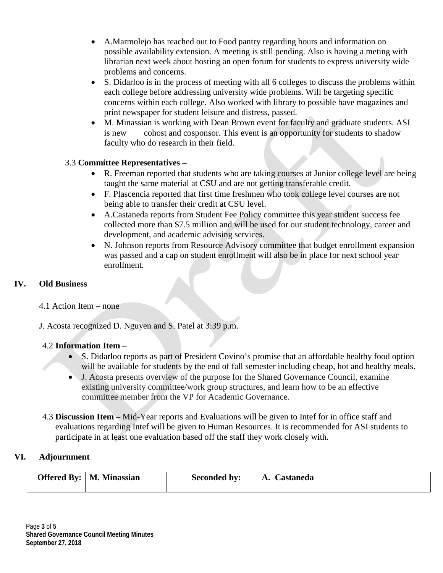- A.Marmolejo has reached out to Food pantry regarding hours and information on possible availability extension. A meeting is still pending. Also is having a meting with librarian next week about hosting an open forum for students to express university wide problems and concerns.
- S. Didarloo is in the process of meeting with all 6 colleges to discuss the problems within each college before addressing university wide problems. Will be targeting specific concerns within each college. Also worked with library to possible have magazines and print newspaper for student leisure and distress, passed.
- M. Minassian is working with Dean Brown event for faculty and graduate students. ASI is new cohost and cosponsor. This event is an opportunity for students to shadow faculty who do research in their field.

## 3.3 **Committee Representatives –**

- R. Freeman reported that students who are taking courses at Junior college level are being taught the same material at CSU and are not getting transferable credit.
- F. Plascencia reported that first time freshmen who took college level courses are not being able to transfer their credit at CSU level.
- A.Castaneda reports from Student Fee Policy committee this year student success fee collected more than \$7.5 million and will be used for our student technology, career and development, and academic advising services.
- N. Johnson reports from Resource Advisory committee that budget enrollment expansion was passed and a cap on student enrollment will also be in place for next school year enrollment.

### **IV. Old Business**

4.1 Action Item – none

J. Acosta recognized D. Nguyen and S. Patel at 3:39 p.m.

### 4.2 **Information Item** –

- S. Didarloo reports as part of President Covino's promise that an affordable healthy food option will be available for students by the end of fall semester including cheap, hot and healthy meals.
- J. Acosta presents overview of the purpose for the Shared Governance Council, examine existing university committee/work group structures, and learn how to be an effective committee member from the VP for Academic Governance.
- 4.3 **Discussion Item –** Mid-Year reports and Evaluations will be given to Intef for in office staff and evaluations regarding Intef will be given to Human Resources. It is recommended for ASI students to participate in at least one evaluation based off the staff they work closely with.

### **VI. Adjournment**

|  | <b>Offered By:</b>   M. Minassian | Seconded by: | <b>A. Castaneda</b> |
|--|-----------------------------------|--------------|---------------------|
|  |                                   |              |                     |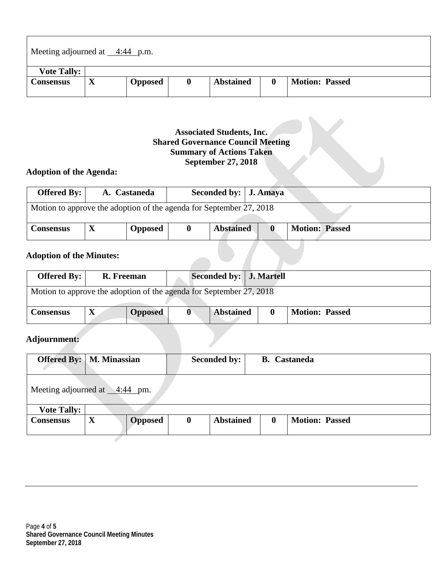| Meeting adjourned at $\_\_4:44$ p.m. |             |                |  |                  |          |                       |  |
|--------------------------------------|-------------|----------------|--|------------------|----------|-----------------------|--|
| <b>Vote Tally:</b>                   |             |                |  |                  |          |                       |  |
| <b>Consensus</b>                     | $\mathbf X$ | <b>Opposed</b> |  | <b>Abstained</b> | $\bf{0}$ | <b>Motion: Passed</b> |  |

## **Associated Students, Inc. Shared Governance Council Meeting Summary of Actions Taken September 27, 2018**

## **Adoption of the Agenda:**

| Offered By: $\vert$                                                 |  | A. Castaneda   |  | Seconded by:   J. Amaya |  |                       |
|---------------------------------------------------------------------|--|----------------|--|-------------------------|--|-----------------------|
| Motion to approve the adoption of the agenda for September 27, 2018 |  |                |  |                         |  |                       |
| <b>Consensus</b>                                                    |  | <b>Opposed</b> |  | <b>Abstained</b>        |  | <b>Motion: Passed</b> |

## **Adoption of the Minutes:**

| Offered By: $\vert$                                                 | R. Freeman |                | Seconded by:   J. Martell |                  |  |                       |
|---------------------------------------------------------------------|------------|----------------|---------------------------|------------------|--|-----------------------|
| Motion to approve the adoption of the agenda for September 27, 2018 |            |                |                           |                  |  |                       |
| <b>Consensus</b>                                                    |            | <b>Opposed</b> | 0                         | <b>Abstained</b> |  | <b>Motion: Passed</b> |

**The Company** 

## **Adjournment:**

| <b>Offered By:</b> M. Minassian     |   |                |          | Seconded by:     |          | <b>B.</b> Castaneda   |
|-------------------------------------|---|----------------|----------|------------------|----------|-----------------------|
| Meeting adjourned at $\_\$ 4:44 pm. |   |                |          |                  |          |                       |
| <b>Vote Tally:</b>                  |   |                |          |                  |          |                       |
| <b>Consensus</b>                    | X | <b>Opposed</b> | $\bf{0}$ | <b>Abstained</b> | $\bf{0}$ | <b>Motion: Passed</b> |